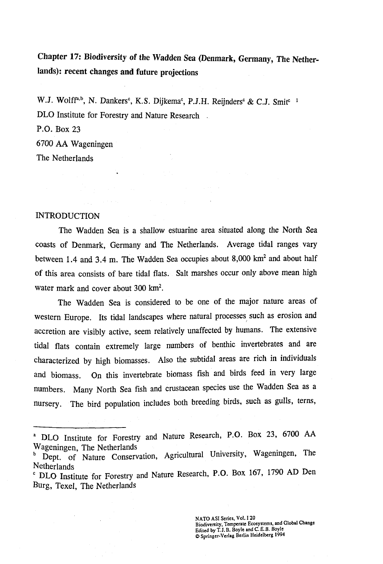# **Chapter 17: Biodiversity of the Wadden Sea (Denmark, Germany, The Netherlands): recent changes and future projections**

W.J. Wolff<sup>a,b</sup>, N. Dankers<sup>c</sup>, K.S. Dijkema<sup>c</sup>, P.J.H. Reijnders<sup>c</sup> & C.J. Smit<sup>c 1</sup> DLO Institute for Forestry and Nature Research . P.O. Box 23 6700 AA Wageningen

The Netherlands

### INTRODUCTION

The Wadden Sea is a shallow estuarine area situated along the North Sea coasts of Denmark, Germany and The Netherlands. Average tidal ranges vary between 1.4 and 3.4 m. The Wadden Sea occupies about 8,000 km<sup>2</sup> and about half of this area consists of bare tidal flats. Salt marshes occur only above mean high water mark and cover about 300 km<sup>2</sup>.

The Wadden Sea is considered to be one of the major nature areas of western Europe. Its tidal landscapes where natural processes such as erosion and accretion are visibly active, seem relatively unaffected by humans. The extensive tidal flats contain extremely large numbers of benthic invertebrates and are characterized by high biomasses. Also the subtidal areas are rich in individuals and biomass. On this invertebrate biomass fish and birds feed in very large numbers. Many North Sea fish and crustacean species use the Wadden Sea as a nursery. The bird population includes both breeding birds, such as gulls, terns,

a DLO Institute for Forestry and Nature Research, P.O. Box 23, 6700 AA Wageningen, The Netherlands .

<sup>&</sup>lt;sup>b</sup> Dept, of Nature Conservation, Agricultural University, Wageningen, **Netherlands** 

<sup>&</sup>lt;sup>e</sup> DLO Institute for Forestry and Nature Research, P.O. Box 167, 1790 AD Den Burg, Texel, The Netherlands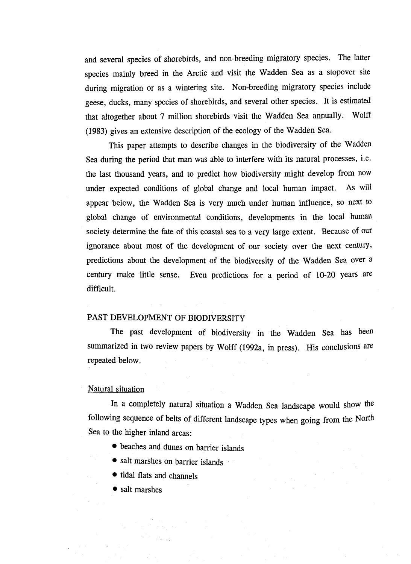and several species of shorebirds, and non-breeding migratory species. The latter species mainly breed in the Arctic and visit the Wadden Sea as a stopover site during migration or as a wintering site. Non-breeding migratory species include geese, ducks, many species of shorebirds, and several other species. It is estimated that altogether about 7 million shorebirds visit the Wadden Sea annually. Wolff (1983) gives an extensive description of the ecology of the Wadden Sea.

This paper attempts to describe changes in the biodiversity of the Wadden Sea during the period that man was able to interfere with its natural processes, i.e. the last thousand years, and to predict how biodiversity might develop from now under expected conditions of global change and local human impact. As will appear below, the Wadden Sea is very much under human influence, so next to global change of environmental conditions, developments in the local human society determine the fate of this coastal sea to a very large extent. Because of our ignorance about most of the development of our society over the next century, predictions about the development of the biodiversity of the Wadden Sea over a century make little sense. Even predictions for a period of 10-20 years are difficult.

## PAST DEVELOPMENT OF BIODIVERSITY

The past development of biodiversity in the Wadden Sea has been summarized in two review papers by Wolff (1992a, in press). His conclusions are repeated below.

#### Natural situation

In a completely natural situation a Wadden Sea landscape would show the following sequence of belts of different landscape types when going from the North Sea to the higher inland areas:

- beaches and dunes on barrier islands
- salt marshes on barrier islands
- tidal flats and channels
- salt marshes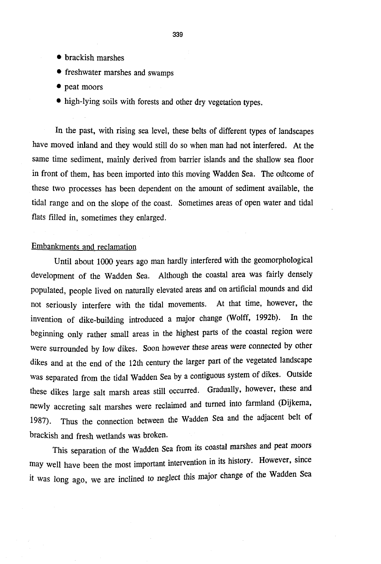- **brackish marshes**
- freshwater marshes and swamps
- peat moors
- high-lying soils with forests and other dry vegetation types.

In the past, with rising sea level, these belts of different types of landscapes have moved inland and they would still do so when man had not interfered. At the same time sediment, mainly derived from barrier islands and the shallow sea floor in front of them, has been imported into this moving Wadden Sea. The outcome of these two processes has been dependent on the amount of sediment available, the tidal range and on the slope of the coast. Sometimes areas of open water and tidal flats filled in, sometimes they enlarged.

#### **Embankments and reclamation**

Until about 1000 years ago man hardly interfered with the geomorphological development of the Wadden Sea. Although the coastal area was fairly densely populated, people lived on naturally elevated areas and on artificial mounds and did not seriously interfere with the tidal movements. At that time, however, the invention of dike-building introduced a major change (Wolff, 1992b). In the beginning only rather small areas in the highest parts of the coastal region were were surrounded by low dikes. Soon however these areas were connected by other dikes and at the end of the 12th century the larger part of the vegetated landscape was separated from the tidal Wadden Sea by a contiguous system of dikes. Outside these dikes large salt marsh areas still occurred. Gradually, however, these and newly accreting salt marshes were reclaimed and turned into farmland (Dijkema, 1987). Thus the connection between the Wadden Sea and the adjacent belt of brackish and fresh wetlands was broken.

This separation of the Wadden Sea from its coastal marshes and peat moors may well have been the most important intervention in its history. However, since it was long ago, we are inclined to neglect this major change of the Wadden Sea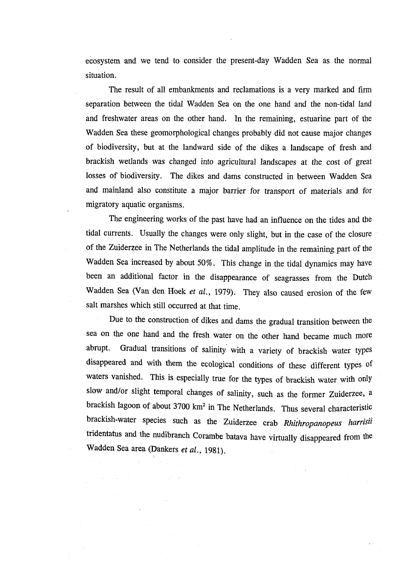ecosystem and we tend to consider the present-day Wadden Sea as the normal situation.

The result of all embankments and reclamations is a very marked and firm separation between the tidal Wadden Sea on the one hand and the non-tidal land and freshwater areas on the other hand. In the remaining, estuarine part of the Wadden Sea these geomorphological changes probably did not cause major changes of biodiversity, but at the landward side of the dikes a landscape of fresh and brackish wetlands was changed into agricultural landscapes at the cost of great losses of biodiversity. The dikes and dams constructed in between Wadden Sea and mainland also constitute a major barrier for transport of materials and for migratory aquatic organisms.

The engineering works of the past have had an influence on the tides and the tidal currents. Usually the changes were only slight, but in the case of the closure of the Zuiderzee in The Netherlands the tidal amplitude in the remaining part of the Wadden Sea increased by about 50%. This change in the tidal dynamics may have been an additional factor in the disappearance of seagrasses from the Dutch Wadden Sea (Van den Hoek *et al.,* 1979). They also caused erosion of the few salt marshes which still occurred at that time.

Due to the construction of dikes and dams the gradual transition between the sea on the one hand and the fresh water on the other hand became much more abrupt. Gradual transitions of salinity with a variety of brackish water types disappeared and with them the ecological conditions of these different types of waters vanished. This is especially true for the types of brackish water with only slow and/or slight temporal changes of salinity, such as the former Zuiderzee, a brackish lagoon of about 3700 km<sup>2</sup> in The Netherlands. Thus several characteristic brackish-water species such as the Zuiderzee crab *Rhithropanopeus harrisii* tridentatus and the nudibranch Corambe batava have virtually disappeared from the Wadden Sea area (Dankers *et al.,* 1981).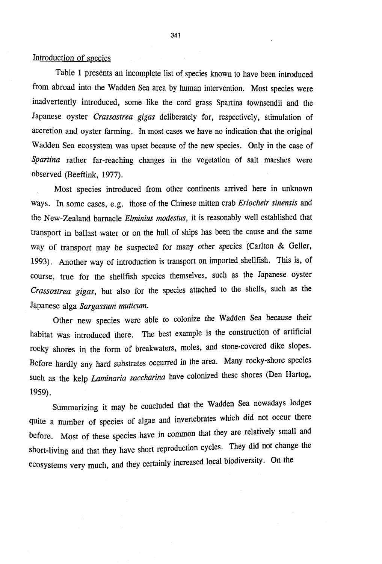## Introduction of species

Table 1 presents an incomplete list of species known to have been introduced from abroad into the Wadden Sea area by human intervention. Most species were inadvertently introduced, some like the cord grass Spartina townsendii and the Japanese oyster *Crassostrea gigas* deliberately for, respectively, stimulation of accretion and oyster farming. In most cases we have no indication that the original Wadden Sea ecosystem was upset because of the new species. Only in the case of *Spartina* rather far-reaching changes in the vegetation of salt marshes were observed (Beeftink, 1977).

Most species introduced from other continents arrived here in unknown ways. In some cases, e.g. those of the Chinese mitten crab *Eriocheir sinensis* and the New-Zealand barnacle *Elminius modestus,* it is reasonably well established that transport in ballast water or on the hull of ships has been the cause and the same way of transport may be suspected for many other species (Carlton & Geller, 1993). Another way of introduction is transport on imported shellfish. This is, of course, true for the shellfish species themselves, such as the Japanese oyster *Crassostrea gigas,* but also for the species attached to the shells, such as the Japanese alga *Sargassum muticum.*

Other new species were able to colonize the Wadden Sea because their habitat was introduced there. The best example is the construction of artificial rocky shores in the form of breakwaters, moles, and stone-covered dike slopes. Before hardly any hard substrates occurred in the area. Many rocky-shore species such as the kelp *Laminaria saccharina* have colonized these shores (Den Hartog, 1959).

Summarizing it may be concluded that the Wadden Sea nowadays lodges quite a number of species of algae and invertebrates which did not occur there before. Most of these species have in common that they are relatively small and short-living and that they have short reproduction cycles. They did not change the ecosystems very much, and they certainly increased local biodiversity. On the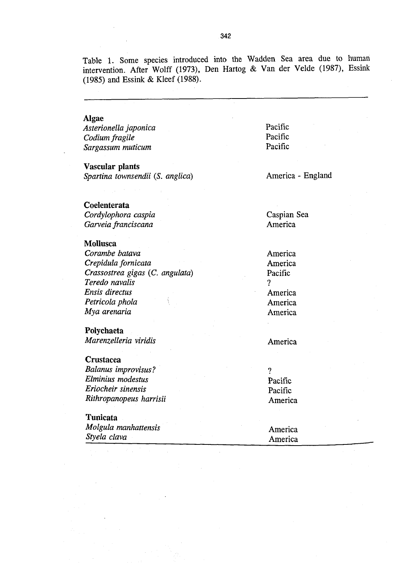Table 1. Some species introduced into the Wadden Sea area due to human intervention. After Wolff (1973), Den Hartog & Van der Velde (1987), Essink (1985) and Essink & Kleef (1988).

| <b>Algae</b>                     |                   |
|----------------------------------|-------------------|
| Asterionella japonica            | Pacific           |
| Codium fragile                   | Pacific           |
| Sargassum muticum                | Pacific           |
| Vascular plants                  |                   |
| Spartina townsendii (S. anglica) | America - England |
|                                  |                   |
| Coelenterata                     |                   |
| Cordylophora caspia              | Caspian Sea       |
| Garveia franciscana              | America           |
| Mollusca                         |                   |
| Corambe batava                   | America           |
| Crepidula fornicata              | America           |
| Crassostrea gigas (C. angulata)  | Pacific           |
| Teredo navalis                   | ?                 |
| Ensis directus                   | America           |
| Petricola phola                  | America           |
| Mya arenaria                     | America           |
| Polychaeta                       |                   |
| Marenzelleria viridis            | America           |
| <b>Crustacea</b>                 |                   |
| <b>Balanus improvisus?</b>       | 7                 |
| Elminius modestus                | Pacific           |
| Eriocheir sinensis               | Pacific           |
| Rithropanopeus harrisii          | America           |
| Tunicata                         |                   |
| Molgula manhattensis             | America           |
| Styela clava                     | America           |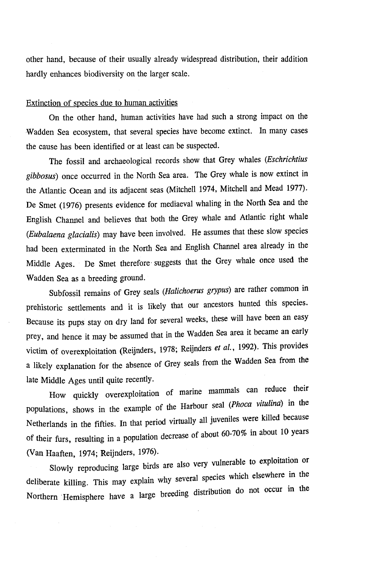other hand, because of their usually already widespread distribution, their addition hardly enhances biodiversity on the larger scale.

#### Extinction of species due to human activities

On the other hand, human activities have had such a strong impact on the Wadden Sea ecosystem, that several species have become extinct. In many cases the cause has been identified or at least can be suspected.

The fossil and archaeological records show that Grey whales *(Eschrichtius gibbosus)* once occurred in the North Sea area. The Grey whale is now extinct in the Atlantic Ocean and its adjacent seas (Mitchell 1974, Mitchell and Mead 1977). De Smet (1976) presents evidence for mediaeval whaling in the North Sea and the English Channel and believes that both the Grey whale and Atlantic right whale *(Eubalaena glacialis)* may have been involved. He assumes that these slow species had been exterminated in the North Sea and English Channel area already in the Middle Ages. De Smet therefore suggests that the Grey whale once used the Wadden Sea as a breeding ground.

Subfossil remains of Grey seals *(Halichoerus grypus)* are rather common in prehistoric settlements and it is likely that our ancestors hunted this species. Because its pups stay on dry land for several weeks, these will have been an easy prey, and hence it may be assumed that in the Wadden Sea area it became an early victim of overexploitation (Reijnders, 1978; Reijnders *et al.,* 1992). This provides a likely explanation for the absence of Grey seals from the Wadden Sea from the late Middle Ages until quite recently.

**How quickly overexploitation of marine mammals can reduce their** populations, shows in the example of the Harbour seal *(Phoca vitulina)* in the **Netherlands in the fifties. In that period virtually all juveniles were killed because** of their furs, resulting in a population decrease of about 60-70% in about 10 years **(Van Haaften,** 1974; Reijnders, 1976).

**Slowly reproducing large birds are also very vulnerable to exploitation or** deliberate killing. This may explain why several species which elsewhere in the **Northern Hemisphere have a large breeding distribution do not occur in the**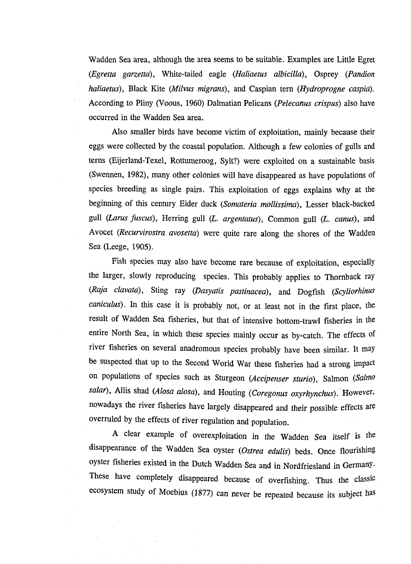Wadden Sea area, although the area seems to be suitable. Examples are Little Egret *(Egretta garzetta),* White-tailed eagle *(Haliaetus albicilla),* Osprey *(Pandion haliaetus),* Black Kite *(Milvus migrans),* and Caspian tern *(Hydroprogne caspia).* According to Pliny (Voous, 1960) Dalmatian Pelicans *(Pelecanus crispus)* also have occurred in the Wadden Sea area.

Also smaller birds have become victim of exploitation, mainly because their eggs were collected by the coastal population. Although a few colonies of gulls and terns (Eijerland-Texel, Rottumeroog, Sylt?) were exploited on a sustainable basis (Swennen, 1982), many other colonies will have disappeared as have populations of species breeding as single pairs. This exploitation of eggs explains why at the beginning of this century Eider duck *(Somateria mollissima),* Lesser black-backed guii *(Larus fuscus),* Herring guii *(L. argentatus),* Common guii *(L. canus),* and Avocet *(Recurvirostra avosetta)* were quite rare along the shores of the Wadden Sea (Leege, 1905).

Fish species may also have become rare because of exploitation, especially the larger, slowly reproducing species. This probably applies to Thornback ray *(Raja clavata),* Sting ray *(Dasyatis pastinacea),* and Dogfish *(Scyliorhinus caniculus).* In this case it is probably not, or at least not in the first place, the result of Wadden Sea fisheries, but that of intensive bottom-trawl fisheries in the entire North Sea, in which these species mainly occur as by-catch. The effects of river fisheries on several anadromous species probably have been similar. It may be suspected that up to the Second World War these fisheries had a strong impact on populations of species such as Sturgeon *(Accipenser sturio),* Salmon *(Salmo salar),* Allis shad *(Alosa alosa),* and Houting *(Coregonus oxyrhynchus).* However, nowadays the river fisheries have largely disappeared and their possible effects are overruled by the effects of river regulation and population.

A clear example of overexploitation in the Wadden Sea itself is the disappearance of the Wadden Sea oyster *(Ostrea edulis)* beds. Once flourishing oyster fisheries existed in the Dutch Wadden Sea and in Nordfriesland in Germany. These have completely disappeared because of overfishing. Thus the classic ecosystem study of Moebius (1877) can never be repeated because its subject has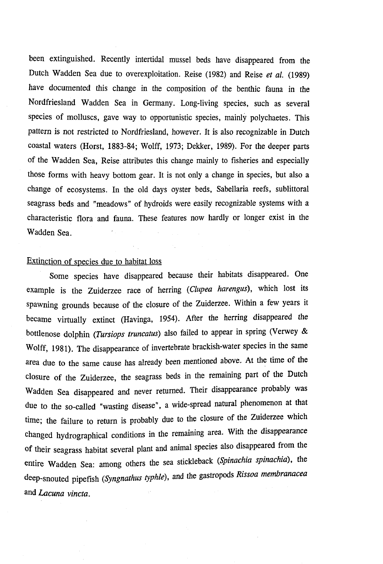been extinguished. Recently intertidal mussel beds have disappeared from the Dutch Wadden Sea due to overexploitation. Reise (1982) and Reise *et al.* (1989) have documented this change in the composition of the benthic fauna in the Nordfriesland Wadden Sea in Germany. Long-living species, such as several species of molluscs, gave way to opportunistic species, mainly polychaetes. This pattern is not restricted to Nordfriesland, however. It is also recognizable in Dutch coastal waters (Horst, 1883-84; Wolff, 1973; Dekker, 1989). For the deeper parts of the Wadden Sea, Reise attributes this change mainly to fisheries and especially those forms with heavy bottom gear. It is not only a change in species, but also a change of ecosystems. In the old days oyster beds, Sabellaria reefs, sublittoral seagrass beds and "meadows" of hydroids were easily recognizable systems with a characteristic flora and fauna. These features now hardly or longer exist in the Wadden Sea.

#### Extinction of species due to habitat loss

Some species have disappeared because their habitats disappeared. One example is the Zuiderzee race of herring (*Clupea harengus),* which lost its spawning grounds because of the closure of the Zuiderzee. Within a few years it became virtually extinct (Havinga, 1954). After the herring disappeared the bottlenose dolphin (*Tursiops truncatus)* also failed to appear in spring (Verwey & Wolff, 1981). The disappearance of invertebrate brackish-water species in the same area due to the same cause has already been mentioned above. At the time of the closure of the Zuiderzee, the seagrass beds in the remaining part of the Dutch Wadden Sea disappeared and never returned. Their disappearance probably was due to the so-called "wasting disease", a wide-spread natural phenomenon at that time; the failure to return is probably due to the closure of the Zuiderzee which changed hydrographical conditions in the remaining area. With the disappearance of their seagrass habitat several plant and animal species also disappeared from the entire Wadden Sea: among others the sea stickleback (*Spinachia spinachia),* the deep-snouted pipefish *(Syngnathus typhle),* and the gastropods *Rissoa membranacea* and *Lacuna vincta.*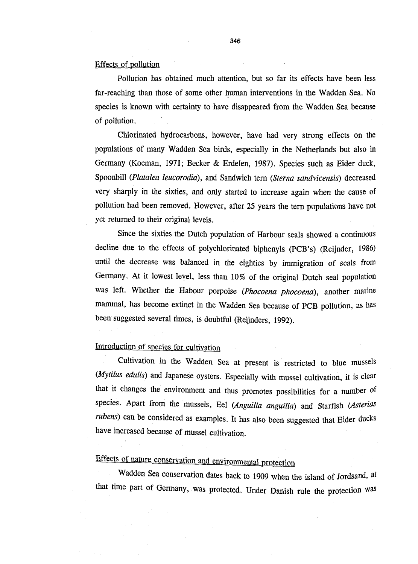#### Effects of pollution

Pollution has obtained much attention, but so far its effects have been less far-reaching than those of some other human interventions in the Wadden Sea. No species is known with certainty to have disappeared from the Wadden Sea because of pollution.

Chlorinated hydrocarbons, however, have had very strong effects on the populations of many Wadden Sea birds, especially in the Netherlands but also in Germany (Koeman, 1971; Becker & Erdelen, 1987). Species such as Eider duck, Spoonbill (*Platalea leucorodia*), and Sandwich tern (*Sterna sandvicensis*) decreased very sharply in the sixties, and only started to increase again when the cause of pollution had been removed. However, after 25 years the tern populations have not yet returned to their original levels.

Since the sixties the Dutch population of Harbour seals showed a continuous decline due to the effects of polychlorinated biphenyls (PCB's) (Reijnder, 1986) until the decrease was balanced in the eighties by immigration of seals from Germany. At it lowest level, less than 10% of the original Dutch seal population was left. Whether the Habour porpoise (*Phocoena phocoena*), another marine mammal, has become extinct in the Wadden Sea because of PCB pollution, as has been suggested several times, is doubtful (Reijnders, 1992).

## Introduction of species for cultivation

Cultivation in the Wadden Sea at present is restricted to blue mussels *(Mytilus edulis)* and Japanese oysters. Especially with mussel cultivation, it is clear that it changes the environment and thus promotes possibilities for a number of species. Apart from the mussels, Eel *(Anguilla anguilla)* and Starfish *(Asterias rubens)* can be considered as examples. It has also been suggested that Eider ducks have increased because of mussel cultivation.

# Effects of nature conservation and environmental protection

Wadden Sea conservation dates back to 1909 when the island of Jordsand, at that time part of Germany, was protected. Under Danish rule the protection was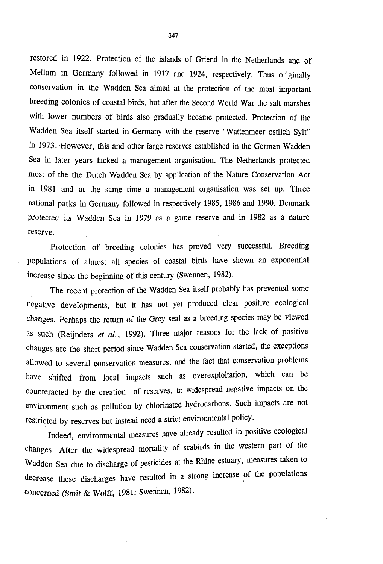restored in 1922. Protection of the islands of Griend in the Netherlands and of Mellum in Germany followed in 1917 and 1924, respectively. Thus originally conservation in the Wadden Sea aimed at the protection of the most important breeding colonies of coastal birds, but after the Second World War the salt marshes with lower numbers of birds also gradually became protected. Protection of the Wadden Sea itself started in Germany with the reserve "Wattenmeer ostlich Sylt" in 1973. However, this and other large reserves established in the German Wadden Sea in later years lacked a management organisation. The Netherlands protected most of the the Dutch Wadden Sea by application of the Nature Conservation Act in 1981 and at the same time a management organisation was set up. Three national parks in Germany followed in respectively 1985, 1986 and 1990. Denmark protected its Wadden Sea in 1979 as a game reserve and in 1982 as a nature reserve.

Protection of breeding colonies has proved very successful. Breeding populations of almost all species of coastal birds have shown an exponential increase since the beginning of this century (Swennen, 1982).

The recent protection of the Wadden Sea itself probably has prevented some negative developments, but it has not yet produced clear positive ecological changes. Perhaps the return of the Grey seal as a breeding species may be viewed as such (Reijnders *et al.,* 1992). Three major reasons for the lack of positive changes are the short period since Wadden Sea conservation started, the exceptions allowed to several conservation measures, and the fact that conservation problems have shifted from local impacts such as overexploitation, which can be counteracted by the creation of reserves, to widespread negative impacts on the environment such as pollution by chlorinated hydrocarbons. Such impacts are not restricted by reserves but instead need a strict environmental policy.

Indeed, environmental measures have already resulted in positive ecological changes. After the widespread mortality of seabirds in the western part of the Wadden Sea due to discharge of pesticides at the Rhine estuary, measures taken to decrease these discharges have resulted in a strong increase of the populations concerned (Smit & Wolff, 1981; Swennen, 1982).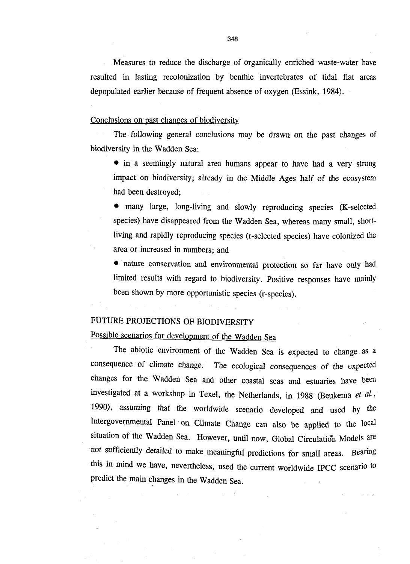Measures to reduce the discharge of organically enriched waste-water have resulted in lasting recolonization by benthic invertebrates of tidal flat areas depopulated earlier because of frequent absence of oxygen (Essink, 1984).

#### Conclusions on past changes of biodiversity

The following general conclusions may be drawn on the past changes of biodiversity in the Wadden Sea:

• in a seemingly natural area humans appear to have had a very strong impact on biodiversity; already in the Middle Ages half of the ecosystem had been destroyed;

• many large, long-living and slowly reproducing species (K-selected species) have disappeared from the Wadden Sea, whereas many small, shortliving and rapidly reproducing species (r-selected species) have colonized the area or increased in numbers; and

• nature conservation and environmental protection so far have only had limited results with regard to biodiversity. Positive responses have mainly been shown by more opportunistic species (r-species).

## FUTURE PROJECTIONS OF BIODIVERSITY

## Possible scenarios for development of the Wadden Sea

The abiotic environment of the Wadden Sea is expected to change as a consequence of climate change. The ecological consequences of the expected changes for the Wadden Sea and other coastal seas and estuaries have been investigated at a workshop in Texel, the Netherlands, in 1988 (Beukema *et* 1990), assuming that the worldwide scenario developed and used by *the* Intergovernmental Panel on Climate Change can also be applied to the local situation of the Wadden Sea. However, until now, Global Circulation Models are not sufficiently detailed to make meaningñil predictions for small areas. Bearing this in mind we have, nevertheless, used the current worldwide IPCC scenario to predict the main changes in the Wadden Sea.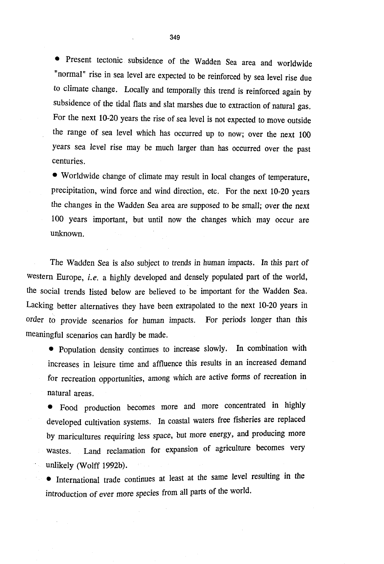• Present tectonic subsidence of the Wadden Sea area and worldwide "normal" rise in sea level are expected to be reinforced by sea level rise due to climate change. Locally and temporally this trend is reinforced again by subsidence of the tidal flats and slat marshes due to extraction of natural gas. For the next 10-20 years the rise of sea level is not expected to move outside the range of sea level which has occurred up to now; over the next 100 years sea level rise may be much larger than has occurred over the past centuries.

• Worldwide change of climate may result in local changes of temperature, precipitation, wind force and wind direction, etc. For the next 10-20 years the changes in the Wadden Sea area are supposed to be small; over the next 100 years important, but until now the changes which may occur are unknown.

The Wadden Sea is also subject to trends in human impacts. In this part of western Europe, *i.e.* a highly developed and densely populated part of the world, the social trends listed below are believed to be important for the Wadden Sea. Lacking better alternatives they have been extrapolated to the next 10-20 years in order to provide scenarios for human impacts. For periods longer than this meaningful scenarios can hardly be made.

• Population density continues to increase slowly. In combination with increases in leisure time and affluence this results in an increased demand for recreation opportunities, among which are active forms of recreation in natural areas.

• Food production becomes more and more concentrated in highly developed cultivation systems. In coastal waters free fisheries are replaced by maricultures requiring less space, but more energy, and producing more wastes. Land reclamation for expansion of agriculture becomes very unlikely (Wolff 1992b).

• International trade continues at least at the same level resulting in the introduction of ever more species from all parts of the world.

 $\mathcal{F}_{\rm{max}}$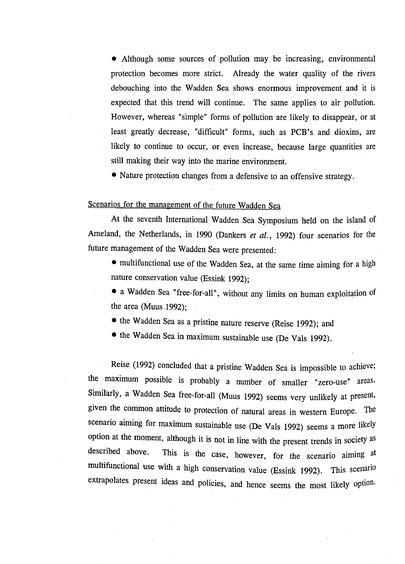• Although some sources of pollution may be increasing, environmental protection becomes more strict. Already the water quality of the rivers debouching into the Wadden Sea shows enormous improvement and it is expected that this trend will continue. The same applies to air pollution. However, whereas "simple" forms of pollution are likely to disappear, or at least greatly decrease, "difficult" forms, such as PCB's and dioxins, are likely to continue to occur, or even increase, because large quantities are still making their way into the marine environment.

• Nature protection changes from a defensive to an offensive strategy.

## Scenarios for the management of the future Wadden Sea

At the seventh International Wadden Sea Symposium held on the island of Ameland, the Netherlands, in 1990 (Dankers *et al.,* 1992) four scenarios for the future management of the Wadden Sea were presented:

• multifunctional use of the Wadden Sea, at the same time aiming for a high nature conservation value (Essink 1992);

• a Wadden Sea "free-for-all", without any limits on human exploitation of the area (Muus 1992);

- the Wadden Sea as a pristine nature reserve (Reise 1992); and
- the Wadden Sea in maximum sustainable use (De Vais 1992).

Reise (1992) concluded that a pristine Wadden Sea is impossible to achieve; the maximum possible is probably a number of smaller "zero-use" areas. Similarly, a Wadden Sea free-for-all (Muus 1992) seems very unlikely at present, given the common attitude to protection of natural areas in western Europe. The scenario aiming for maximum sustainable use (De Vais 1992) seems a more likely option at the moment, although it is not in line with the present trends in society as described above. This is the case, however, for the scenario aiming at multifunctional use with a high conservation value (Essink 1992). This scenario extrapolates present ideas and policies, and hence seems the most likely option.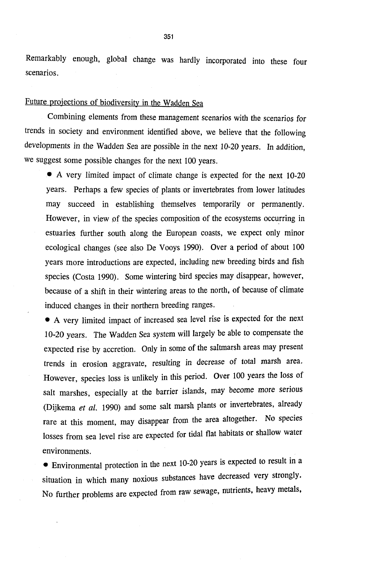Remarkably enough, global change was hardly incorporated into these four scenarios.

## Future projections of biodiversity in the Wadden Sea

Combining elements from these management scenarios with the scenarios for trends in society and environment identified above, we believe that the following developments in the Wadden Sea are possible in the next *10-20* years. In addition, we suggest some possible changes for the next 100 years.

• A very limited impact of climate change is expected for the next 10-20 years. Perhaps a few species of plants or invertebrates from lower latitudes may succeed in establishing themselves temporarily or permanently. However, in view of the species composition of the ecosystems occurring in estuaries further south along the European coasts, we expect only minor ecological changes (see also De Vooys 1990). Over a period of about 100 years more introductions are expected, including new breeding birds and fish species (Costa 1990). Some wintering bird species may disappear, however, because of a shift in their wintering areas to the north, of because of climate induced changes in their northern breeding ranges.

• A very limited impact of increased sea level rise is expected for the next 10-20 years. The Wadden Sea system will largely be able to compensate the expected rise by accretion. Only in some of the saltmarsh areas may present trends in erosion aggravate, resulting in decrease of total marsh area. However, species loss is unlikely in this period. Over 100 years the loss of salt marshes, especially at the barrier islands, may become more serious (Dijkema *et al.* 1990) and some salt marsh plants or invertebrates, already rare at this moment, may disappear from the area altogether. No species losses from sea level rise are expected for tidal flat habitats or shallow water environments.

• Environmental protection in the next 10-20 years is expected to result in a situation in which many noxious substances have decreased very strongly. No further problems are expected from raw sewage, nutrients, heavy metals,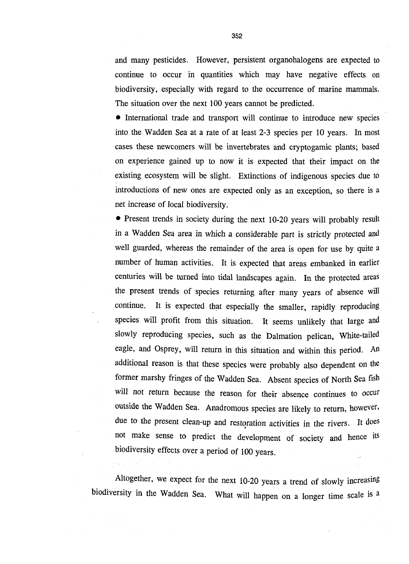and many pesticides. However, persistent organohalogens are expected to continue to occur in quantities which may have negative effects on biodiversity, especially with regard to the occurrence of marine mammals. The situation over the next 100 years cannot be predicted.

• International trade and transport will continue to introduce new species into the Wadden Sea at a rate of at least 2-3 species per 10 years. In most cases these newcomers will be invertebrates and cryptogamie plants; based on experience gained up to now it is expected that their impact on the existing ecosystem will be slight. Extinctions of indigenous species due to introductions of new ones are expected only as an exception, so there is a net increase of local biodiversity.

• Present trends in society during the next 10-20 years will probably result in a Wadden Sea area in which a considerable part is strictly protected and well guarded, whereas the remainder of the area is open for use by quite a number of human activities. It is expected that areas embanked in earlier centuries will be turned into tidal landscapes again. In the protected areas the present trends of species returning after many years of absence will continue. It is expected that especially the smaller, rapidly reproducing species will profit from this situation. It seems unlikely that large and slowly reproducing species, such as the Dalmation pelican, White-tailed eagle, and Osprey, will return in this situation and within this period. An additional reason is that these species were probably also dependent on the former marshy fringes of the Wadden Sea. Absent species of North Sea fish will not return because the reason for their absence continues to occur outside the Wadden Sea. Anadromous species are likely to return, however, due to the present clean-up and restoration activities in the rivers. It does not make sense to predict the development of society and hence its biodiversity effects over a period of 100 years.

Altogether, we expect for the next 10-20 years a trend of slowly increasing biodiversity in the Wadden Sea. What will happen on a longer time scale is a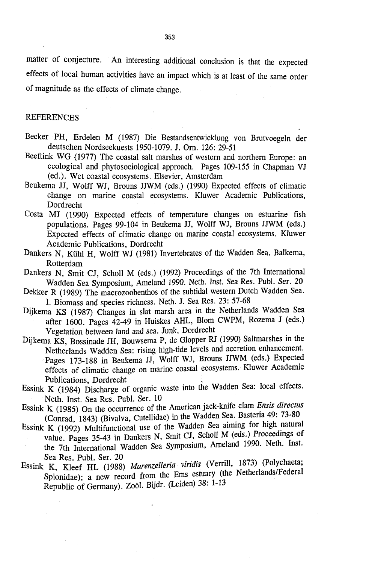matter of conjecture. An interesting additional conclusion is that the expected effects of local human activities have an impact which is at least of the same order of magnitude as the effects of climate change.

## REFERENCES

- Becker PH, Erdelen M (1987) Die Bestandsentwicklung von Brutvoegeln der deutschen Nordseekuests 1950-1079. J. Orn. 126: 29-51
- Beeftink WG (1977) The coastal salt marshes of western and northern Europe: an ecological and phytosociological approach. Pages 109-155 in Chapman VJ (ed.). Wet coastal ecosystems. Elsevier, Amsterdam
- Beukema JJ, Wolff WJ, Brouns JJWM (eds.) (1990) Expected effects of climatic change on marine coastal ecosystems. Kluwer Academic Publications, Dordrecht
- Costa MJ (1990) Expected effects of temperature changes on estuarine fish populations. Pages 99-104 in Beukema JJ, Wolff WJ, Brouns JJWM (eds.) Expected effects of climatic change on marine coastal ecosystems. Kluwer Academic Publications, Dordrecht
- Dankers N, Kühl H, Wolff WJ (1981) Invertebrates of the Wadden Sea. Balkema, Rotterdam
- Dankers N, Smit CJ, Scholl M (eds.) (1992) Proceedings of the 7th International Wadden Sea Symposium, Ameland 1990. Neth. Inst. Sea Res. Publ. Ser. 20
- Dekker R (1989) The macrozoobenthos of the subtidal western Dutch Wadden Sea. I. Biomass and species richness. Neth. J. Sea Res. 23: 57-68
- Dijkema KS (1987) Changes in slat marsh area in the Netherlands Wadden Sea after 1600. Pages 42-49 in Huiskes AHL, Blom CWPM, Rozema J (eds.) Vegetation between land and sea. Junk, Dordrecht
- Dijkema KS, Bossinade JH, Bouwsema P, de Glopper RJ (1990) Saltmarshes in the Netherlands Wadden Sea: rising high-tide levels and accretion enhancement. Pages 173-188 in Beukema JJ, Wolff WJ, Brouns JJWM (eds.) Expected effects of climatic change on marine coastal ecosystems. Kluwer Academic Publications, Dordrecht
- Essink K (1984) Discharge of organic waste into the Wadden Sea: local effects. Neth. Inst. Sea Res. Publ. Ser. 10
- Essink K (1985) On the occurrence of the American jack-knife clam *Ensis directus* (Conrad, 1843) (Bivalva, Cutellidae) in the Wadden Sea. Bastera 49: 73-80
- Essink K (1992) Multifunctional use of the Wadden Sea aiming for high natural value. Pages 35-43 in Dankers N, Smit CJ, Scholl M (eds ) Proceedings of the 7th International Wadden Sea Symposium, Ameland 1990. Neth. Inst.
- Sea Res. Publ. Ser. 20<br>Essink K, Kleef HL (1988) *Marenzelleria viridis* (Verrill, 1873) (Polychaeta; Spionidae); a new record from the Ems estuary (the Netherlands/Federal Republic of Germany). Zoöl. Bijdr. (Leiden) 38: 1-13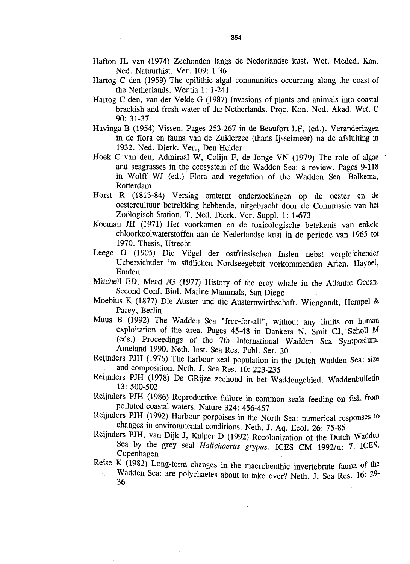- Hafton JL van (1974) Zeehonden langs de Nederlandse kust. Wet. Meded. Kon. Ned. Natuurhist. Ver. 109: 1-36
- Hartog C den (1959) The epilithic algal communities occurring along the coast of the Netherlands. Wentia 1: 1-241
- Hartog C den, van der Velde G (1987) Invasions of plants and animals into coastal brackish and fresh water of the Netherlands. Proc. Kon. Ned. Akad. Wet. C 90: 31-37
- Havinga B (1954) Vissen. Pages 253-267 in de Beaufort LF, (ed.). Veranderingen in de flora en fauna van de Zuiderzee (thans Ijsselmeer) na de afsluiting in 1932. Ned. Dierk. Ver., Den Helder
- Hoek C van den, Admiraal W, Colijn F, de Jonge VN (1979) The role of algae and seagrasses in the ecosystem of the Wadden Sea: a review. Pages 9-118 in Wolff WJ (ed.) Flora and vegetation of the Wadden Sea. Balkema, Rotterdam
- Horst R (1813-84) Verslag omternt onderzoekingen op de oester en de oestercultuur betrekking hebbende, uitgebracht door de Commissie van het Zoölogisch Station. T. Ned. Dierk. Ver. Suppl. 1: 1-673
- Koeman JH (1971) Het voorkomen en de toxicologische betekenis van enkele chloorkoolwaterstoffen aan de Nederlandse kust in de periode van 1965 tot 1970. Thesis, Utrecht
- Leege O (1905) Die Vögel der ostfriesischen Inslen nebst vergleichender Uebersichtder im südlichen Nordseegebeit vorkommenden Arten. Haynel, Emden
- Mitchell ED, Mead JG (1977) History of the grey whale in the Atlantic Ocean. Second Conf. Biol. Marine Mammals, San Diego
- Moebius K (1877) Die Auster und die Austernwirthschaft. Wiengandt, Hempel & Parey, Berlin
- Muus B (1992) The Wadden Sea "free-for-all", without any limits on human exploitation of the area. Pages 45-48 in Dankers N, Smit CJ, Scholl M (eds.) Proceedings of the 7th International Wadden Sea Symposium, Ameland 1990. Neth. Inst. Sea Res. Publ. Ser. 20
- Reijnders PJH (1976) The harbour seal population in the Dutch Wadden Sea: size and composition. Neth. J. Sea Res. 10: 223-235
- Reijnders PJH (1978) De GRijze zeehond in het Waddengebied. Waddenbulletin 13: 500-502
- Reijnders PJH (1986) Reproductive failure in common seals feeding on fish from polluted coastal waters. Nature 324: 456-457
- Reijnders PJH (1992) Harbour porpoises in the North Sea: numerical responses to changes in environmental conditions. Neth. J. Aq. Ecol. 26: 75-85
- Reijnders PJH, van Dijk J, Kuiper D (1992) Recolonization of the Dutch Wadden Sea by the grey seal *Halichoerus grypus.* ICES CM 1992/n: 7. ICES, Copenhagen
- Reise K (1982) Long-term changes in the macrobenthic invertebrate fauna of the Wadden Sea: are polychaetes about to take over? Neth. J. Sea Res. 16: 29-